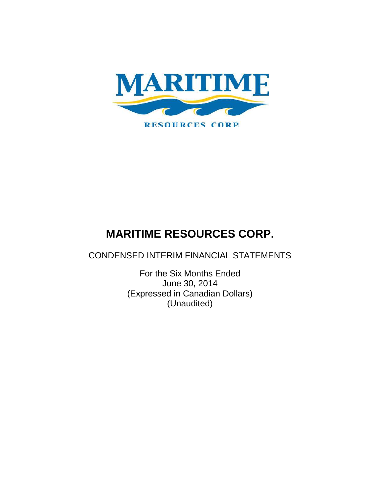

CONDENSED INTERIM FINANCIAL STATEMENTS

For the Six Months Ended June 30, 2014 (Expressed in Canadian Dollars) (Unaudited)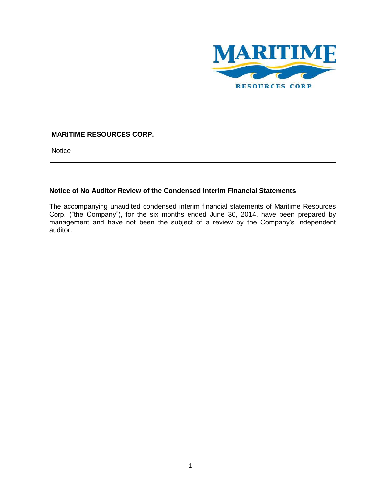

**Notice** 

## **Notice of No Auditor Review of the Condensed Interim Financial Statements**

The accompanying unaudited condensed interim financial statements of Maritime Resources Corp. ("the Company"), for the six months ended June 30, 2014, have been prepared by management and have not been the subject of a review by the Company's independent auditor.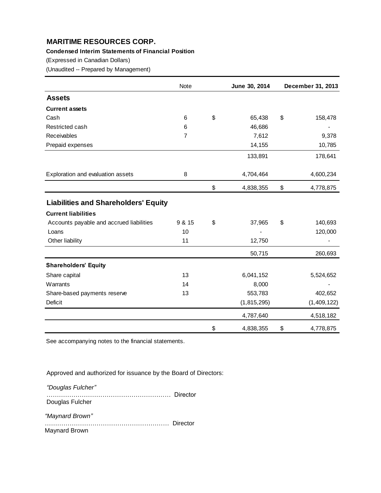## **Condensed Interim Statements of Financial Position**

(Expressed in Canadian Dollars)

(Unaudited -- Prepared by Management)

|                                             | Note           | June 30, 2014   | December 31, 2013 |
|---------------------------------------------|----------------|-----------------|-------------------|
| <b>Assets</b>                               |                |                 |                   |
| <b>Current assets</b>                       |                |                 |                   |
| Cash                                        | 6              | \$<br>65,438    | \$<br>158,478     |
| Restricted cash                             | 6              | 46,686          |                   |
| Receivables                                 | $\overline{7}$ | 7,612           | 9,378             |
| Prepaid expenses                            |                | 14,155          | 10,785            |
|                                             |                | 133,891         | 178,641           |
| Exploration and evaluation assets           | 8              | 4,704,464       | 4,600,234         |
|                                             |                | \$<br>4,838,355 | \$<br>4,778,875   |
| <b>Liabilities and Shareholders' Equity</b> |                |                 |                   |
| <b>Current liabilities</b>                  |                |                 |                   |
| Accounts payable and accrued liabilities    | 9 & 15         | \$<br>37,965    | \$<br>140,693     |
| Loans                                       | 10             |                 | 120,000           |
| Other liability                             | 11             | 12,750          |                   |
|                                             |                | 50,715          | 260,693           |
| <b>Shareholders' Equity</b>                 |                |                 |                   |
| Share capital                               | 13             | 6,041,152       | 5,524,652         |
| Warrants                                    | 14             | 8,000           |                   |
| Share-based payments reserve                | 13             | 553,783         | 402,652           |
| Deficit                                     |                | (1, 815, 295)   | (1,409,122)       |
|                                             |                | 4,787,640       | 4,518,182         |
|                                             |                | \$<br>4,838,355 | \$<br>4,778,875   |

See accompanying notes to the financial statements.

Approved and authorized for issuance by the Board of Directors:

*"Douglas Fulcher"*

…………………………………………………… Director Douglas Fulcher

*"Maynard Brown"*

…………………………………………………… Director Maynard Brown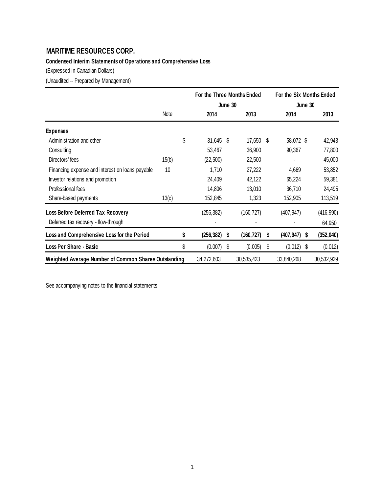# **Condensed Interim Statements of Operations and Comprehensive Loss**

(Expressed in Canadian Dollars)

(Unaudited -- Prepared by Management)

|                                                      |       |    | For the Three Months Ended<br>June 30 |    |            | For the Six Months Ended<br>June 30 |              |   |            |
|------------------------------------------------------|-------|----|---------------------------------------|----|------------|-------------------------------------|--------------|---|------------|
|                                                      | Note  |    | 2014                                  |    | 2013       |                                     | 2014         |   | 2013       |
| <b>Expenses</b>                                      |       |    |                                       |    |            |                                     |              |   |            |
| Administration and other                             |       | \$ | 31,645 \$                             |    | 17,650     | S.                                  | 58,072 \$    |   | 42,943     |
| Consulting                                           |       |    | 53,467                                |    | 36,900     |                                     | 90,367       |   | 77,800     |
| Directors' fees                                      | 15(b) |    | (22, 500)                             |    | 22,500     |                                     | ٠            |   | 45,000     |
| Financing expense and interest on loans payable      | 10    |    | 1,710                                 |    | 27,222     |                                     | 4,669        |   | 53,852     |
| Investor relations and promotion                     |       |    | 24,409                                |    | 42,122     |                                     | 65,224       |   | 59,381     |
| Professional fees                                    |       |    | 14,806                                |    | 13,010     |                                     | 36,710       |   | 24,495     |
| Share-based payments                                 | 13(c) |    | 152,845                               |    | 1,323      |                                     | 152,905      |   | 113,519    |
| <b>Loss Before Deferred Tax Recovery</b>             |       |    | (256, 382)                            |    | (160, 727) |                                     | (407, 947)   |   | (416, 990) |
| Deferred tax recovery - flow-through                 |       |    |                                       |    |            |                                     |              |   | 64,950     |
| Loss and Comprehensive Loss for the Period           |       | S  | (256,382)                             | S  | (160,727)  | S                                   | (407,947)    | S | (352,040)  |
| <b>Loss Per Share - Basic</b>                        |       | \$ | (0.007)                               | \$ | (0.005)    | \$                                  | $(0.012)$ \$ |   | (0.012)    |
| Weighted Average Number of Common Shares Outstanding |       |    | 34,272,603                            |    | 30,535,423 |                                     | 33,840,268   |   | 30,532,929 |

See accompanying notes to the financial statements.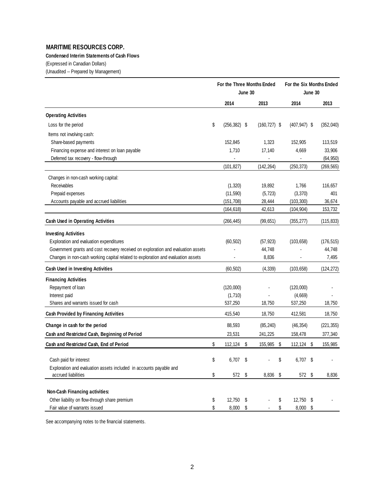## **Condensed Interim Statements of Cash Flows**

(Expressed in Canadian Dollars)

(Unaudited -- Prepared by Management)

|                                                                                   | For the Three Months Ended<br>June 30 |                 |    |                 |      | For the Six Months Ended<br>June 30 |  |            |
|-----------------------------------------------------------------------------------|---------------------------------------|-----------------|----|-----------------|------|-------------------------------------|--|------------|
|                                                                                   |                                       | 2014            |    | 2013            |      | 2014                                |  | 2013       |
| <b>Operating Activities</b>                                                       |                                       |                 |    |                 |      |                                     |  |            |
| Loss for the period                                                               | \$                                    | $(256, 382)$ \$ |    | $(160, 727)$ \$ |      | $(407, 947)$ \$                     |  | (352,040)  |
| Items not involving cash:                                                         |                                       |                 |    |                 |      |                                     |  |            |
| Share-based payments                                                              |                                       | 152,845         |    | 1,323           |      | 152,905                             |  | 113,519    |
| Financing expense and interest on loan payable                                    |                                       | 1,710           |    | 17,140          |      | 4,669                               |  | 33,906     |
| Deferred tax recovery - flow-through                                              |                                       |                 |    | $\blacksquare$  |      |                                     |  | (64, 950)  |
|                                                                                   |                                       | (101, 827)      |    | (142, 264)      |      | (250, 373)                          |  | (269, 565) |
| Changes in non-cash working capital:                                              |                                       |                 |    |                 |      |                                     |  |            |
| Receivables                                                                       |                                       | (1, 320)        |    | 19,892          |      | 1,766                               |  | 116,657    |
| Prepaid expenses                                                                  |                                       | (11,590)        |    | (5, 723)        |      | (3,370)                             |  | 401        |
| Accounts payable and accrued liabilities                                          |                                       | (151, 708)      |    | 28,444          |      | (103, 300)                          |  | 36,674     |
|                                                                                   |                                       | (164, 618)      |    | 42,613          |      | (104, 904)                          |  | 153,732    |
| <b>Cash Used in Operating Activities</b>                                          |                                       | (266, 445)      |    | (99, 651)       |      | (355, 277)                          |  | (115, 833) |
| <b>Investing Activities</b>                                                       |                                       |                 |    |                 |      |                                     |  |            |
| Exploration and evaluation expenditures                                           |                                       | (60, 502)       |    | (57, 923)       |      | (103, 658)                          |  | (176, 515) |
| Government grants and cost recovery received on exploration and evaluation assets |                                       |                 |    | 44,748          |      |                                     |  | 44,748     |
| Changes in non-cash working capital related to exploration and evaluation assets  |                                       |                 |    | 8,836           |      |                                     |  | 7,495      |
| Cash Used in Investing Activities                                                 |                                       | (60, 502)       |    | (4, 339)        |      | (103, 658)                          |  | (124, 272) |
| <b>Financing Activities</b>                                                       |                                       |                 |    |                 |      |                                     |  |            |
| Repayment of loan                                                                 |                                       | (120,000)       |    |                 |      | (120,000)                           |  |            |
| Interest paid                                                                     |                                       | (1,710)         |    |                 |      | (4,669)                             |  |            |
| Shares and warrants issued for cash                                               |                                       | 537,250         |    | 18,750          |      | 537,250                             |  | 18,750     |
| <b>Cash Provided by Financing Activities</b>                                      |                                       | 415,540         |    | 18,750          |      | 412,581                             |  | 18,750     |
| Change in cash for the period                                                     |                                       | 88,593          |    | (85, 240)       |      | (46, 354)                           |  | (221, 355) |
| Cash and Restricted Cash, Beginning of Period                                     |                                       | 23,531          |    | 241,225         |      | 158,478                             |  | 377,340    |
| Cash and Restricted Cash, End of Period                                           | \$                                    | 112,124         | \$ | 155,985         | - \$ | 112,124 \$                          |  | 155,985    |
| Cash paid for interest                                                            | \$                                    | 6,707           | \$ |                 | \$   | 6,707 \$                            |  |            |
| Exploration and evaluation assets included in accounts payable and                |                                       |                 |    |                 |      |                                     |  |            |
| accrued liabilities                                                               | \$                                    | 572 \$          |    | 8,836 \$        |      | 572 \$                              |  | 8,836      |
|                                                                                   |                                       |                 |    |                 |      |                                     |  |            |
| Non-Cash Financing activities:                                                    |                                       |                 |    |                 |      |                                     |  |            |
| Other liability on flow-through share premium                                     | \$                                    | 12,750          | \$ |                 | \$   | 12,750 \$                           |  |            |
| Fair value of warrants issued                                                     | \$                                    | 8,000 \$        |    |                 | \$   | 8,000 \$                            |  |            |

See accompanying notes to the financial statements.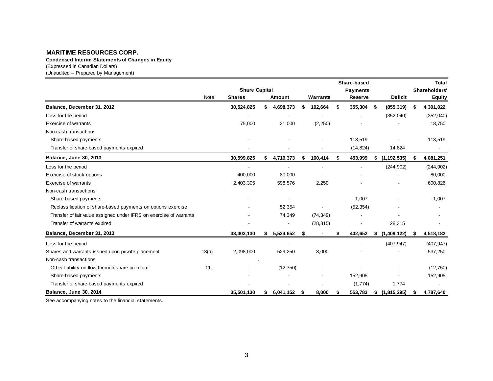(Expressed in Canadian Dollars) (Unaudited -- Prepared by Management) **Condensed Interim Statements of Changes in Equity**

|                                                                    |       |                      |           |      |           |    | Share-based     |                     |    | <b>Total</b>  |
|--------------------------------------------------------------------|-------|----------------------|-----------|------|-----------|----|-----------------|---------------------|----|---------------|
|                                                                    |       | <b>Share Capital</b> |           |      |           |    | <b>Payments</b> |                     |    | Shareholders' |
|                                                                    | Note  | <b>Shares</b>        | Amount    |      | Warrants  |    | <b>Reserve</b>  | <b>Deficit</b>      |    | <b>Equity</b> |
| Balance, December 31, 2012                                         |       | 30,524,825           | 4,698,373 |      | 102,664   | \$ | 355,304         | \$<br>(855, 319)    | S  | 4,301,022     |
| Loss for the period                                                |       |                      |           |      |           |    |                 | (352,040)           |    | (352,040)     |
| <b>Exercise of warrants</b>                                        |       | 75,000               | 21,000    |      | (2, 250)  |    |                 |                     |    | 18,750        |
| Non-cash transactions                                              |       |                      |           |      |           |    |                 |                     |    |               |
| Share-based payments                                               |       |                      |           |      |           |    | 113,519         |                     |    | 113,519       |
| Transfer of share-based payments expired                           |       |                      |           |      |           |    | (14, 824)       | 14,824              |    |               |
| Balance, June 30, 2013                                             |       | 30,599,825           | 4,719,373 |      | 100,414   | \$ | 453,999         | \$<br>(1, 192, 535) | S  | 4,081,251     |
| Loss for the period                                                |       |                      |           |      |           |    | $\blacksquare$  | (244, 902)          |    | (244, 902)    |
| Exercise of stock options                                          |       | 400,000              | 80,000    |      |           |    |                 |                     |    | 80,000        |
| <b>Exercise of warrants</b>                                        |       | 2,403,305            | 598,576   |      | 2,250     |    |                 |                     |    | 600,826       |
| Non-cash transactions                                              |       |                      |           |      |           |    |                 |                     |    |               |
| Share-based payments                                               |       |                      |           |      |           |    | 1.007           |                     |    | 1,007         |
| Reclassification of share-based payments on options exercise       |       |                      | 52,354    |      |           |    | (52, 354)       |                     |    |               |
| Transfer of fair value assigned under IFRS on exercise of warrants |       |                      | 74,349    |      | (74, 349) |    |                 |                     |    |               |
| Transfer of warrants expired                                       |       |                      |           |      | (28, 315) |    |                 | 28,315              |    |               |
| Balance, December 31, 2013                                         |       | 33,403,130           | 5,524,652 | \$   |           | \$ | 402,652         | \$<br>(1,409,122)   | \$ | 4,518,182     |
| Loss for the period                                                |       |                      |           |      |           |    |                 | (407, 947)          |    | (407, 947)    |
| Shares and warrants issued upon private placement                  | 13(b) | 2,098,000            | 529,250   |      | 8,000     |    |                 |                     |    | 537,250       |
| Non-cash transactions                                              |       |                      |           |      |           |    |                 |                     |    |               |
| Other liability on flow-through share premium                      | 11    |                      | (12,750)  |      |           |    |                 |                     |    | (12, 750)     |
| Share-based payments                                               |       |                      |           |      |           |    | 152,905         |                     |    | 152,905       |
| Transfer of share-based payments expired                           |       |                      |           |      |           |    | (1,774)         | 1,774               |    |               |
| Balance, June 30, 2014                                             |       | 35,501,130           | 6,041,152 | - \$ | 8,000     | S  | 553,783         | \$(1,815,295)       |    | 4,787,640     |

See accompanying notes to the financial statements.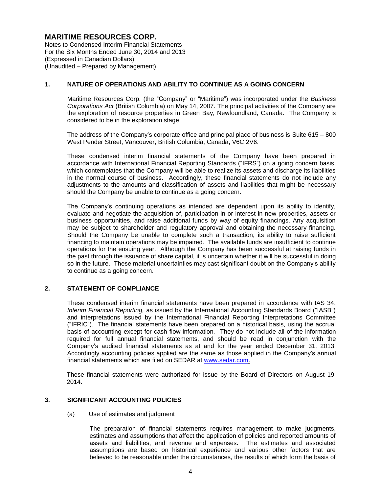Notes to Condensed Interim Financial Statements For the Six Months Ended June 30, 2014 and 2013 (Expressed in Canadian Dollars) (Unaudited – Prepared by Management)

## **1. NATURE OF OPERATIONS AND ABILITY TO CONTINUE AS A GOING CONCERN**

Maritime Resources Corp. (the "Company" or "Maritime") was incorporated under the *Business Corporations Act* (British Columbia) on May 14, 2007. The principal activities of the Company are the exploration of resource properties in Green Bay, Newfoundland, Canada. The Company is considered to be in the exploration stage.

The address of the Company's corporate office and principal place of business is Suite 615 – 800 West Pender Street, Vancouver, British Columbia, Canada, V6C 2V6.

These condensed interim financial statements of the Company have been prepared in accordance with International Financial Reporting Standards ("IFRS") on a going concern basis, which contemplates that the Company will be able to realize its assets and discharge its liabilities in the normal course of business. Accordingly, these financial statements do not include any adjustments to the amounts and classification of assets and liabilities that might be necessary should the Company be unable to continue as a going concern.

The Company's continuing operations as intended are dependent upon its ability to identify, evaluate and negotiate the acquisition of, participation in or interest in new properties, assets or business opportunities, and raise additional funds by way of equity financings. Any acquisition may be subject to shareholder and regulatory approval and obtaining the necessary financing. Should the Company be unable to complete such a transaction, its ability to raise sufficient financing to maintain operations may be impaired. The available funds are insufficient to continue operations for the ensuing year. Although the Company has been successful at raising funds in the past through the issuance of share capital, it is uncertain whether it will be successful in doing so in the future. These material uncertainties may cast significant doubt on the Company's ability to continue as a going concern.

## **2. STATEMENT OF COMPLIANCE**

These condensed interim financial statements have been prepared in accordance with IAS 34, *Interim Financial Reporting,* as issued by the International Accounting Standards Board ("IASB") and interpretations issued by the International Financial Reporting Interpretations Committee ("IFRIC"). The financial statements have been prepared on a historical basis, using the accrual basis of accounting except for cash flow information. They do not include all of the information required for full annual financial statements, and should be read in conjunction with the Company's audited financial statements as at and for the year ended December 31, 2013. Accordingly accounting policies applied are the same as those applied in the Company's annual financial statements which are filed on SEDAR at www.sedar.com.

These financial statements were authorized for issue by the Board of Directors on August 19, 2014.

## **3. SIGNIFICANT ACCOUNTING POLICIES**

(a) Use of estimates and judgment

The preparation of financial statements requires management to make judgments, estimates and assumptions that affect the application of policies and reported amounts of assets and liabilities, and revenue and expenses. The estimates and associated assumptions are based on historical experience and various other factors that are believed to be reasonable under the circumstances, the results of which form the basis of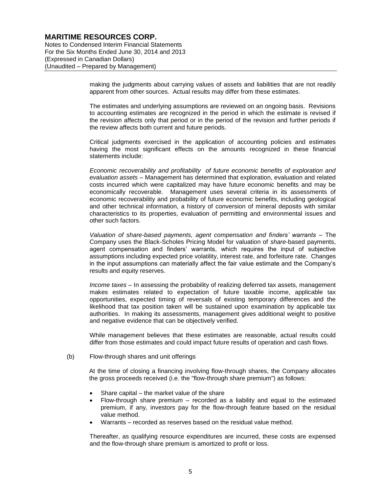Notes to Condensed Interim Financial Statements For the Six Months Ended June 30, 2014 and 2013 (Expressed in Canadian Dollars) (Unaudited – Prepared by Management)

> making the judgments about carrying values of assets and liabilities that are not readily apparent from other sources. Actual results may differ from these estimates.

> The estimates and underlying assumptions are reviewed on an ongoing basis. Revisions to accounting estimates are recognized in the period in which the estimate is revised if the revision affects only that period or in the period of the revision and further periods if the review affects both current and future periods.

> Critical judgments exercised in the application of accounting policies and estimates having the most significant effects on the amounts recognized in these financial statements include:

> *Economic recoverability and profitability of future economic benefits of exploration and evaluation assets* – Management has determined that exploration, evaluation and related costs incurred which were capitalized may have future economic benefits and may be economically recoverable. Management uses several criteria in its assessments of economic recoverability and probability of future economic benefits, including geological and other technical information, a history of conversion of mineral deposits with similar characteristics to its properties, evaluation of permitting and environmental issues and other such factors.

> *Valuation of share-based payments, agent compensation and finders' warrants* – The Company uses the Black-Scholes Pricing Model for valuation of *share*-based payments, agent compensation and finders' warrants, which requires the input of subjective assumptions including expected price volatility, interest rate, and forfeiture rate. Changes in the input assumptions can materially affect the fair value estimate and the Company's results and equity reserves.

> *Income taxes* – In assessing the probability of realizing deferred tax assets, management makes estimates related to expectation of future taxable income, applicable tax opportunities, expected timing of reversals of existing temporary differences and the likelihood that tax position taken will be sustained upon examination by applicable tax authorities. In making its assessments, management gives additional weight to positive and negative evidence that can be objectively verified.

> While management believes that these estimates are reasonable, actual results could differ from those estimates and could impact future results of operation and cash flows.

#### (b) Flow-through shares and unit offerings

At the time of closing a financing involving flow-through shares, the Company allocates the gross proceeds received (i.e. the "flow-through share premium") as follows:

- Share capital the market value of the share
- Flow-through share premium recorded as a liability and equal to the estimated premium, if any, investors pay for the flow-through feature based on the residual value method.
- Warrants recorded as reserves based on the residual value method.

Thereafter, as qualifying resource expenditures are incurred, these costs are expensed and the flow-through share premium is amortized to profit or loss.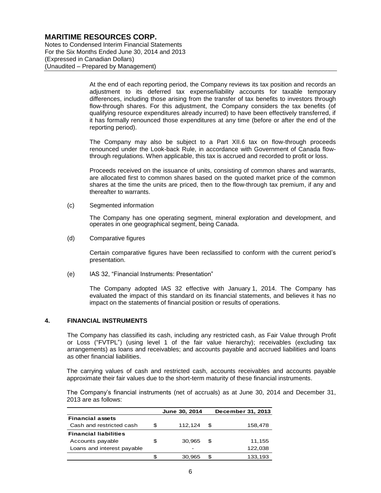Notes to Condensed Interim Financial Statements For the Six Months Ended June 30, 2014 and 2013 (Expressed in Canadian Dollars) (Unaudited – Prepared by Management)

> At the end of each reporting period, the Company reviews its tax position and records an adjustment to its deferred tax expense/liability accounts for taxable temporary differences, including those arising from the transfer of tax benefits to investors through flow-through shares. For this adjustment, the Company considers the tax benefits (of qualifying resource expenditures already incurred) to have been effectively transferred, if it has formally renounced those expenditures at any time (before or after the end of the reporting period).

> The Company may also be subject to a Part XII.6 tax on flow-through proceeds renounced under the Look-back Rule, in accordance with Government of Canada flowthrough regulations. When applicable, this tax is accrued and recorded to profit or loss.

> Proceeds received on the issuance of units, consisting of common shares and warrants, are allocated first to common shares based on the quoted market price of the common shares at the time the units are priced, then to the flow-through tax premium, if any and thereafter to warrants.

(c) Segmented information

The Company has one operating segment, mineral exploration and development, and operates in one geographical segment, being Canada.

(d) Comparative figures

Certain comparative figures have been reclassified to conform with the current period's presentation.

(e) IAS 32, "Financial Instruments: Presentation"

The Company adopted IAS 32 effective with January 1, 2014. The Company has evaluated the impact of this standard on its financial statements, and believes it has no impact on the statements of financial position or results of operations.

## **4. FINANCIAL INSTRUMENTS**

The Company has classified its cash, including any restricted cash, as Fair Value through Profit or Loss ("FVTPL") (using level 1 of the fair value hierarchy); receivables (excluding tax arrangements) as loans and receivables; and accounts payable and accrued liabilities and loans as other financial liabilities.

The carrying values of cash and restricted cash, accounts receivables and accounts payable approximate their fair values due to the short-term maturity of these financial instruments.

The Company's financial instruments (net of accruals) as at June 30, 2014 and December 31, 2013 are as follows:

|                              |   | June 30, 2014 |     | December 31, 2013 |
|------------------------------|---|---------------|-----|-------------------|
| <b>Financial assets</b>      |   |               |     |                   |
| Cash and restricted cash     | S | 112.124       | \$. | 158,478           |
| <b>Financial liabilities</b> |   |               |     |                   |
| Accounts payable             | S | 30.965        | \$. | 11,155            |
| Loans and interest payable   |   | -             |     | 122,038           |
|                              |   | 30.965        |     | 133.193           |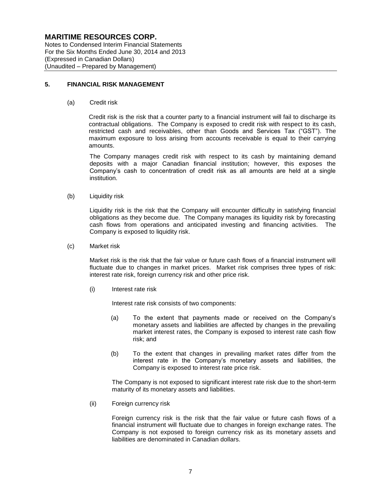Notes to Condensed Interim Financial Statements For the Six Months Ended June 30, 2014 and 2013 (Expressed in Canadian Dollars) (Unaudited – Prepared by Management)

## **5. FINANCIAL RISK MANAGEMENT**

(a) Credit risk

Credit risk is the risk that a counter party to a financial instrument will fail to discharge its contractual obligations. The Company is exposed to credit risk with respect to its cash, restricted cash and receivables, other than Goods and Services Tax ("GST"). The maximum exposure to loss arising from accounts receivable is equal to their carrying amounts.

The Company manages credit risk with respect to its cash by maintaining demand deposits with a major Canadian financial institution; however, this exposes the Company's cash to concentration of credit risk as all amounts are held at a single institution.

(b) Liquidity risk

Liquidity risk is the risk that the Company will encounter difficulty in satisfying financial obligations as they become due. The Company manages its liquidity risk by forecasting cash flows from operations and anticipated investing and financing activities. The Company is exposed to liquidity risk.

(c) Market risk

Market risk is the risk that the fair value or future cash flows of a financial instrument will fluctuate due to changes in market prices. Market risk comprises three types of risk: interest rate risk, foreign currency risk and other price risk.

(i) Interest rate risk

Interest rate risk consists of two components:

- (a) To the extent that payments made or received on the Company's monetary assets and liabilities are affected by changes in the prevailing market interest rates, the Company is exposed to interest rate cash flow risk; and
- (b) To the extent that changes in prevailing market rates differ from the interest rate in the Company's monetary assets and liabilities, the Company is exposed to interest rate price risk.

The Company is not exposed to significant interest rate risk due to the short-term maturity of its monetary assets and liabilities.

(ii) Foreign currency risk

Foreign currency risk is the risk that the fair value or future cash flows of a financial instrument will fluctuate due to changes in foreign exchange rates. The Company is not exposed to foreign currency risk as its monetary assets and liabilities are denominated in Canadian dollars.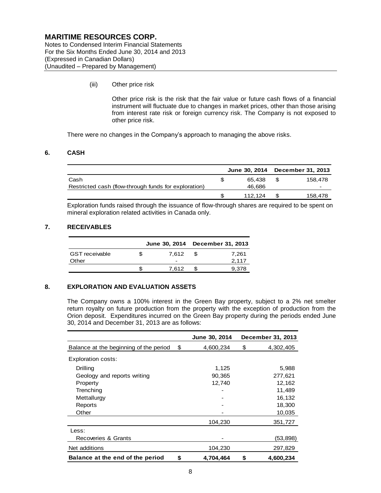Notes to Condensed Interim Financial Statements For the Six Months Ended June 30, 2014 and 2013 (Expressed in Canadian Dollars) (Unaudited – Prepared by Management)

(iii) Other price risk

Other price risk is the risk that the fair value or future cash flows of a financial instrument will fluctuate due to changes in market prices, other than those arising from interest rate risk or foreign currency risk. The Company is not exposed to other price risk.

There were no changes in the Company's approach to managing the above risks.

## **6. CASH**

|                                                      |         | June 30, 2014 December 31, 2013 |
|------------------------------------------------------|---------|---------------------------------|
| Cash                                                 | 65.438  | 158.478                         |
| Restricted cash (flow-through funds for exploration) | 46,686  |                                 |
|                                                      | 112.124 | 158,478                         |

Exploration funds raised through the issuance of flow-through shares are required to be spent on mineral exploration related activities in Canada only.

## **7. RECEIVABLES**

|                       |   |                          |      | June 30, 2014 December 31, 2013 |
|-----------------------|---|--------------------------|------|---------------------------------|
| <b>GST</b> receivable | S | 7.612                    | - 55 | 7.261                           |
| Other                 |   | $\overline{\phantom{0}}$ |      | 2.117                           |
|                       |   | 7.612                    |      | 9.378                           |

## **8. EXPLORATION AND EVALUATION ASSETS**

The Company owns a 100% interest in the Green Bay property, subject to a 2% net smelter return royalty on future production from the property with the exception of production from the Orion deposit. Expenditures incurred on the Green Bay property during the periods ended June 30, 2014 and December 31, 2013 are as follows:

|                                        | <b>June 30, 2014</b> | December 31, 2013 |
|----------------------------------------|----------------------|-------------------|
| Balance at the beginning of the period | \$<br>4,600,234      | \$<br>4,302,405   |
| Exploration costs:                     |                      |                   |
| Drilling                               | 1,125                | 5,988             |
| Geology and reports writing            | 90,365               | 277,621           |
| Property                               | 12,740               | 12,162            |
| Trenching                              |                      | 11,489            |
| Mettallurgy                            |                      | 16,132            |
| Reports                                |                      | 18,300            |
| Other                                  |                      | 10,035            |
|                                        | 104,230              | 351,727           |
| Less:                                  |                      |                   |
| Recoveries & Grants                    |                      | (53,898)          |
| Net additions                          | 104,230              | 297,829           |
| Balance at the end of the period       | \$<br>4,704,464      | \$<br>4,600,234   |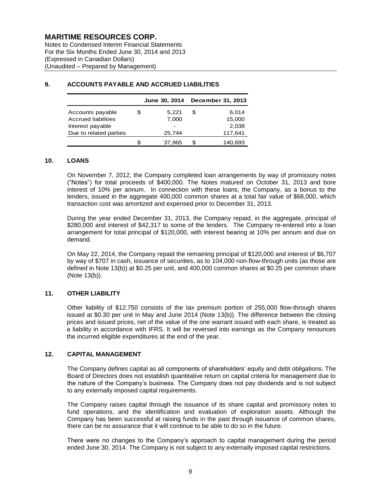Notes to Condensed Interim Financial Statements For the Six Months Ended June 30, 2014 and 2013 (Expressed in Canadian Dollars) (Unaudited – Prepared by Management)

|                        |   | June 30, 2014            |   | December 31, 2013 |
|------------------------|---|--------------------------|---|-------------------|
| Accounts payable       | S | 5,221                    | S | 6,014             |
| Accrued liabilities    |   | 7,000                    |   | 15,000            |
| Interest payable       |   | $\overline{\phantom{0}}$ |   | 2,038             |
| Due to related parties |   | 25.744                   |   | 117,641           |
|                        |   | 37,965                   |   | 140.693           |

## **9. ACCOUNTS PAYABLE AND ACCRUED LIABILITIES**

## **10. LOANS**

On November 7, 2012, the Company completed loan arrangements by way of promissory notes ("Notes") for total proceeds of \$400,000. The Notes matured on October 31, 2013 and bore interest of 10% per annum. In connection with these loans, the Company, as a bonus to the lenders, issued in the aggregate 400,000 common shares at a total fair value of \$68,000, which transaction cost was amortized and expensed prior to December 31, 2013.

During the year ended December 31, 2013, the Company repaid, in the aggregate, principal of \$280,000 and interest of \$42,317 to some of the lenders. The Company re-entered into a loan arrangement for total principal of \$120,000, with interest bearing at 10% per annum and due on demand.

On May 22, 2014, the Company repaid the remaining principal of \$120,000 and interest of \$6,707 by way of \$707 in cash, issuance of securities, as to 104,000 non-flow-through units (as those are defined in Note 13(b)) at \$0.25 per unit, and 400,000 common shares at \$0.25 per common share (Note 13(b)).

## **11. OTHER LIABILITY**

Other liability of \$12,750 consists of the tax premium portion of 255,000 flow-through shares issued at \$0.30 per unit in May and June 2014 (Note 13(b)). The difference between the closing prices and issued prices, net of the value of the one warrant issued with each share, is treated as a liability in accordance with IFRS. It will be reversed into earnings as the Company renounces the incurred eligible expenditures at the end of the year.

## **12. CAPITAL MANAGEMENT**

The Company defines capital as all components of shareholders' equity and debt obligations. The Board of Directors does not establish quantitative return on capital criteria for management due to the nature of the Company's business. The Company does not pay dividends and is not subject to any externally imposed capital requirements.

The Company raises capital through the issuance of its share capital and promissory notes to fund operations, and the identification and evaluation of exploration assets. Although the Company has been successful at raising funds in the past through issuance of common shares, there can be no assurance that it will continue to be able to do so in the future.

There were no changes to the Company's approach to capital management during the period ended June 30, 2014. The Company is not subject to any externally imposed capital restrictions.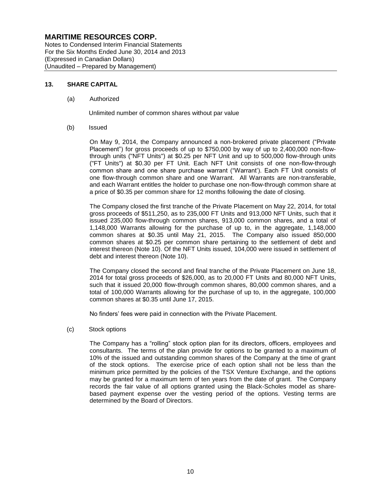Notes to Condensed Interim Financial Statements For the Six Months Ended June 30, 2014 and 2013 (Expressed in Canadian Dollars) (Unaudited – Prepared by Management)

## **13. SHARE CAPITAL**

## (a) Authorized

Unlimited number of common shares without par value

(b) Issued

On May 9, 2014, the Company announced a non-brokered private placement ("Private Placement") for gross proceeds of up to \$750,000 by way of up to 2,400,000 non-flowthrough units ("NFT Units") at \$0.25 per NFT Unit and up to 500,000 flow-through units ("FT Units") at \$0.30 per FT Unit. Each NFT Unit consists of one non-flow-through common share and one share purchase warrant ("Warrant'). Each FT Unit consists of one flow-through common share and one Warrant. All Warrants are non-transferable, and each Warrant entitles the holder to purchase one non-flow-through common share at a price of \$0.35 per common share for 12 months following the date of closing.

The Company closed the first tranche of the Private Placement on May 22, 2014, for total gross proceeds of \$511,250, as to 235,000 FT Units and 913,000 NFT Units, such that it issued 235,000 flow-through common shares, 913,000 common shares, and a total of 1,148,000 Warrants allowing for the purchase of up to, in the aggregate, 1,148,000 common shares at \$0.35 until May 21, 2015. The Company also issued 850,000 common shares at \$0.25 per common share pertaining to the settlement of debt and interest thereon (Note 10). Of the NFT Units issued, 104,000 were issued in settlement of debt and interest thereon (Note 10).

The Company closed the second and final tranche of the Private Placement on June 18, 2014 for total gross proceeds of \$26,000, as to 20,000 FT Units and 80,000 NFT Units, such that it issued 20,000 flow-through common shares, 80,000 common shares, and a total of 100,000 Warrants allowing for the purchase of up to, in the aggregate, 100,000 common shares at \$0.35 until June 17, 2015.

No finders' fees were paid in connection with the Private Placement.

## (c) Stock options

The Company has a "rolling" stock option plan for its directors, officers, employees and consultants. The terms of the plan provide for options to be granted to a maximum of 10% of the issued and outstanding common shares of the Company at the time of grant of the stock options. The exercise price of each option shall not be less than the minimum price permitted by the policies of the TSX Venture Exchange, and the options may be granted for a maximum term of ten years from the date of grant. The Company records the fair value of all options granted using the Black-Scholes model as sharebased payment expense over the vesting period of the options. Vesting terms are determined by the Board of Directors.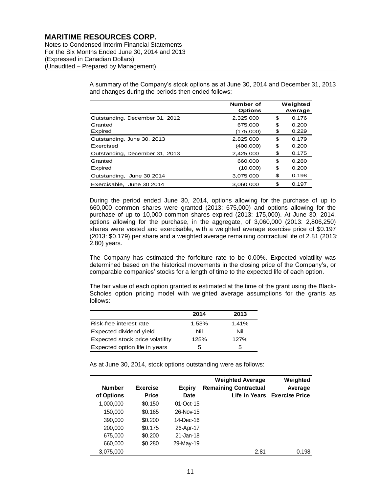Notes to Condensed Interim Financial Statements For the Six Months Ended June 30, 2014 and 2013 (Expressed in Canadian Dollars) (Unaudited – Prepared by Management)

> A summary of the Company's stock options as at June 30, 2014 and December 31, 2013 and changes during the periods then ended follows:

|                                | Number of<br><b>Options</b> |     | Weighted<br>Average |
|--------------------------------|-----------------------------|-----|---------------------|
| Outstanding, December 31, 2012 | 2,325,000                   | \$. | 0.176               |
| Granted                        | 675,000                     | \$  | 0.200               |
| Expired                        | (175,000)                   | \$  | 0.229               |
| Outstanding, June 30, 2013     | 2,825,000                   | \$  | 0.179               |
| Exercised                      | (400,000)                   | \$  | 0.200               |
| Outstanding, December 31, 2013 | 2,425,000                   | \$  | 0.175               |
| Granted                        | 660,000                     | \$  | 0.280               |
| Expired                        | (10,000)                    | S   | 0.200               |
| Outstanding, June 30 2014      | 3,075,000                   | \$  | 0.198               |
| Exercisable, June 30 2014      | 3.060.000                   | S   | 0.197               |

During the period ended June 30, 2014, options allowing for the purchase of up to 660,000 common shares were granted (2013: 675,000) and options allowing for the purchase of up to 10,000 common shares expired (2013: 175,000). At June 30, 2014, options allowing for the purchase, in the aggregate, of 3,060,000 (2013: 2,806,250) shares were vested and exercisable, with a weighted average exercise price of \$0.197 (2013: \$0.179) per share and a weighted average remaining contractual life of 2.81 (2013: 2.80) years.

The Company has estimated the forfeiture rate to be 0.00%. Expected volatility was determined based on the historical movements in the closing price of the Company's, or comparable companies' stocks for a length of time to the expected life of each option.

The fair value of each option granted is estimated at the time of the grant using the Black-Scholes option pricing model with weighted average assumptions for the grants as follows:

|                                 | 2014  | 2013  |
|---------------------------------|-------|-------|
| Risk-free interest rate         | 1.53% | 1.41% |
| Expected dividend yield         | Nil   | Nil   |
| Expected stock price volatility | 125%  | 127%  |
| Expected option life in years   | 5     | 5     |

As at June 30, 2014, stock options outstanding were as follows:

|               |                 |               | <b>Weighted Average</b>      | Weighted                     |
|---------------|-----------------|---------------|------------------------------|------------------------------|
| <b>Number</b> | <b>Exercise</b> | <b>Expiry</b> | <b>Remaining Contractual</b> | Average                      |
| of Options    | <b>Price</b>    | Date          |                              | Life in Years Exercise Price |
| 1,000,000     | \$0.150         | $01-Oct-15$   |                              |                              |
| 150,000       | \$0.165         | 26-Nov-15     |                              |                              |
| 390,000       | \$0.200         | 14-Dec-16     |                              |                              |
| 200,000       | \$0.175         | 26-Apr-17     |                              |                              |
| 675,000       | \$0.200         | 21-Jan-18     |                              |                              |
| 660,000       | \$0.280         | 29-May-19     |                              |                              |
| 3,075,000     |                 |               | 2.81                         | 0.198                        |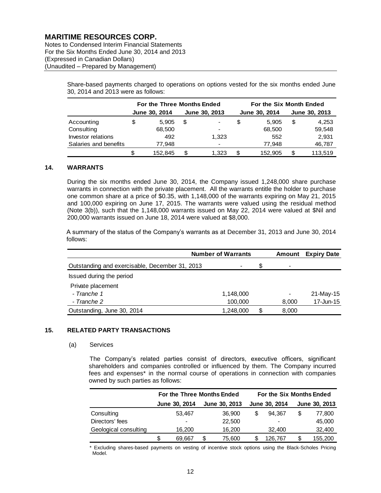Notes to Condensed Interim Financial Statements For the Six Months Ended June 30, 2014 and 2013 (Expressed in Canadian Dollars) (Unaudited – Prepared by Management)

> Share-based payments charged to operations on options vested for the six months ended June 30, 2014 and 2013 were as follows:

|                       | For the Three Months Ended |         |               |                          |   | For the Six Month Ended |               |         |  |  |
|-----------------------|----------------------------|---------|---------------|--------------------------|---|-------------------------|---------------|---------|--|--|
|                       | June 30, 2014              |         | June 30, 2013 |                          |   | June 30, 2014           | June 30, 2013 |         |  |  |
| Accounting            | \$                         | 5.905   | S             | ۰                        | S | 5.905                   | S             | 4,253   |  |  |
| Consulting            |                            | 68,500  |               | ۰                        |   | 68,500                  |               | 59,548  |  |  |
| Investor relations    |                            | 492     |               | 1.323                    |   | 552                     |               | 2,931   |  |  |
| Salaries and benefits |                            | 77,948  |               | $\overline{\phantom{0}}$ |   | 77,948                  |               | 46,787  |  |  |
|                       | S                          | 152.845 |               | 1,323                    | S | 152.905                 | S             | 113.519 |  |  |

#### **14. WARRANTS**

During the six months ended June 30, 2014, the Company issued 1,248,000 share purchase warrants in connection with the private placement. All the warrants entitle the holder to purchase one common share at a price of \$0.35, with 1,148,000 of the warrants expiring on May 21, 2015 and 100,000 expiring on June 17, 2015. The warrants were valued using the residual method (Note 3(b)), such that the 1,148,000 warrants issued on May 22, 2014 were valued at \$Nil and 200,000 warrants issued on June 18, 2014 were valued at \$8,000.

A summary of the status of the Company's warrants as at December 31, 2013 and June 30, 2014 follows:

|                                                | <b>Number of Warrants</b> |           |   |                          | <b>Amount</b> Expiry Date |
|------------------------------------------------|---------------------------|-----------|---|--------------------------|---------------------------|
| Outstanding and exercisable, December 31, 2013 |                           | $\,$      | S | -                        |                           |
| Issued during the period                       |                           |           |   |                          |                           |
| Private placement                              |                           |           |   |                          |                           |
| - Tranche 1                                    |                           | 1,148,000 |   | $\overline{\phantom{a}}$ | 21-May-15                 |
| - Tranche 2                                    |                           | 100,000   |   | 8,000                    | 17-Jun-15                 |
| Outstanding, June 30, 2014                     |                           | 1,248,000 | S | 8,000                    |                           |

## **15. RELATED PARTY TRANSACTIONS**

#### (a) Services

The Company's related parties consist of directors, executive officers, significant shareholders and companies controlled or influenced by them. The Company incurred fees and expenses\* in the normal course of operations in connection with companies owned by such parties as follows:

|                       | For the Three Months Ended |                |   |               | For the Six Months Ended |                      |    |               |  |
|-----------------------|----------------------------|----------------|---|---------------|--------------------------|----------------------|----|---------------|--|
|                       |                            | June 30, 2014  |   | June 30, 2013 |                          | <b>June 30, 2014</b> |    | June 30, 2013 |  |
| Consulting            |                            | 53,467         |   | 36,900        |                          | 94.367               | \$ | 77,800        |  |
| Directors' fees       |                            | $\blacksquare$ |   | 22,500        |                          |                      |    | 45,000        |  |
| Geological consulting |                            | 16,200         |   | 16,200        |                          | 32,400               |    | 32,400        |  |
|                       |                            | 69.667         | S | 75,600        |                          | 126.767              |    | 155,200       |  |

\* Excluding shares-based payments on vesting of incentive stock options using the Black-Scholes Pricing Model.